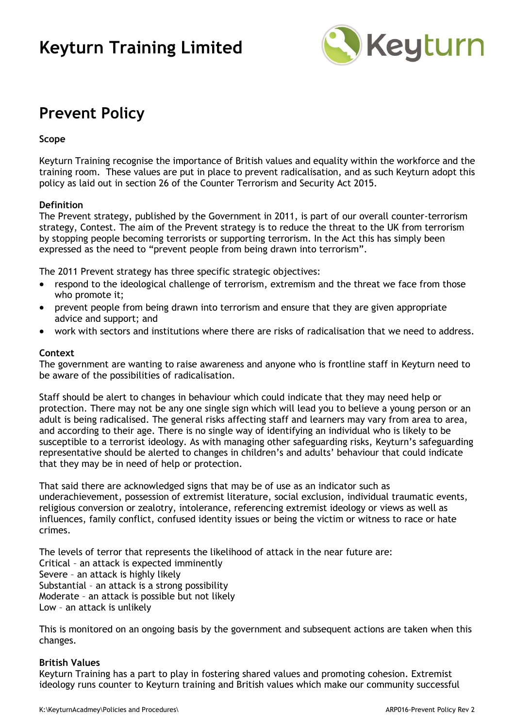## **Keyturn Training Limited**



### **Prevent Policy**

#### **Scope**

Keyturn Training recognise the importance of British values and equality within the workforce and the training room. These values are put in place to prevent radicalisation, and as such Keyturn adopt this policy as laid out in section 26 of the Counter Terrorism and Security Act 2015.

#### **Definition**

The Prevent strategy, published by the Government in 2011, is part of our overall counter-terrorism strategy, Contest. The aim of the Prevent strategy is to reduce the threat to the UK from terrorism by stopping people becoming terrorists or supporting terrorism. In the Act this has simply been expressed as the need to "prevent people from being drawn into terrorism".

The 2011 Prevent strategy has three specific strategic objectives:

- respond to the ideological challenge of terrorism, extremism and the threat we face from those who promote it;
- prevent people from being drawn into terrorism and ensure that they are given appropriate advice and support; and
- work with sectors and institutions where there are risks of radicalisation that we need to address.

#### **Context**

The government are wanting to raise awareness and anyone who is frontline staff in Keyturn need to be aware of the possibilities of radicalisation.

Staff should be alert to changes in behaviour which could indicate that they may need help or protection. There may not be any one single sign which will lead you to believe a young person or an adult is being radicalised. The general risks affecting staff and learners may vary from area to area, and according to their age. There is no single way of identifying an individual who is likely to be susceptible to a terrorist ideology. As with managing other safeguarding risks, Keyturn's safeguarding representative should be alerted to changes in children's and adults' behaviour that could indicate that they may be in need of help or protection.

That said there are acknowledged signs that may be of use as an indicator such as underachievement, possession of extremist literature, social exclusion, individual traumatic events, religious conversion or zealotry, intolerance, referencing extremist ideology or views as well as influences, family conflict, confused identity issues or being the victim or witness to race or hate crimes.

The levels of terror that represents the likelihood of attack in the near future are: Critical – an attack is expected imminently Severe – an attack is highly likely Substantial – an attack is a strong possibility Moderate – an attack is possible but not likely Low – an attack is unlikely

This is monitored on an ongoing basis by the government and subsequent actions are taken when this changes.

#### **British Values**

Keyturn Training has a part to play in fostering shared values and promoting cohesion. Extremist ideology runs counter to Keyturn training and British values which make our community successful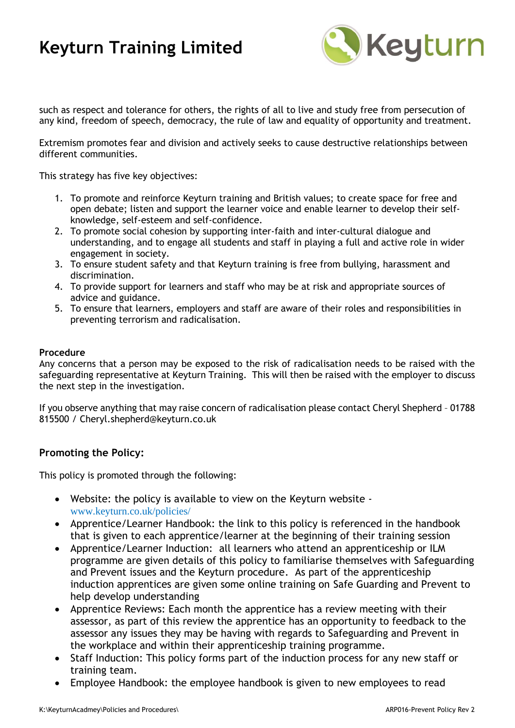# **Keyturn Training Limited**



such as respect and tolerance for others, the rights of all to live and study free from persecution of any kind, freedom of speech, democracy, the rule of law and equality of opportunity and treatment.

Extremism promotes fear and division and actively seeks to cause destructive relationships between different communities.

This strategy has five key objectives:

- 1. To promote and reinforce Keyturn training and British values; to create space for free and open debate; listen and support the learner voice and enable learner to develop their selfknowledge, self-esteem and self-confidence.
- 2. To promote social cohesion by supporting inter-faith and inter-cultural dialogue and understanding, and to engage all students and staff in playing a full and active role in wider engagement in society.
- 3. To ensure student safety and that Keyturn training is free from bullying, harassment and discrimination.
- 4. To provide support for learners and staff who may be at risk and appropriate sources of advice and guidance.
- 5. To ensure that learners, employers and staff are aware of their roles and responsibilities in preventing terrorism and radicalisation.

#### **Procedure**

Any concerns that a person may be exposed to the risk of radicalisation needs to be raised with the safeguarding representative at Keyturn Training. This will then be raised with the employer to discuss the next step in the investigation.

If you observe anything that may raise concern of radicalisation please contact Cheryl Shepherd – 01788 815500 / Cheryl.shepherd@keyturn.co.uk

### **Promoting the Policy:**

This policy is promoted through the following:

- Website: the policy is available to view on the Keyturn website [www.keyturn.co.uk/policies/](http://www.keyturn.co.uk/policies/)
- Apprentice/Learner Handbook: the link to this policy is referenced in the handbook that is given to each apprentice/learner at the beginning of their training session
- Apprentice/Learner Induction: all learners who attend an apprenticeship or ILM programme are given details of this policy to familiarise themselves with Safeguarding and Prevent issues and the Keyturn procedure. As part of the apprenticeship induction apprentices are given some online training on Safe Guarding and Prevent to help develop understanding
- Apprentice Reviews: Each month the apprentice has a review meeting with their assessor, as part of this review the apprentice has an opportunity to feedback to the assessor any issues they may be having with regards to Safeguarding and Prevent in the workplace and within their apprenticeship training programme.
- Staff Induction: This policy forms part of the induction process for any new staff or training team.
- Employee Handbook: the employee handbook is given to new employees to read